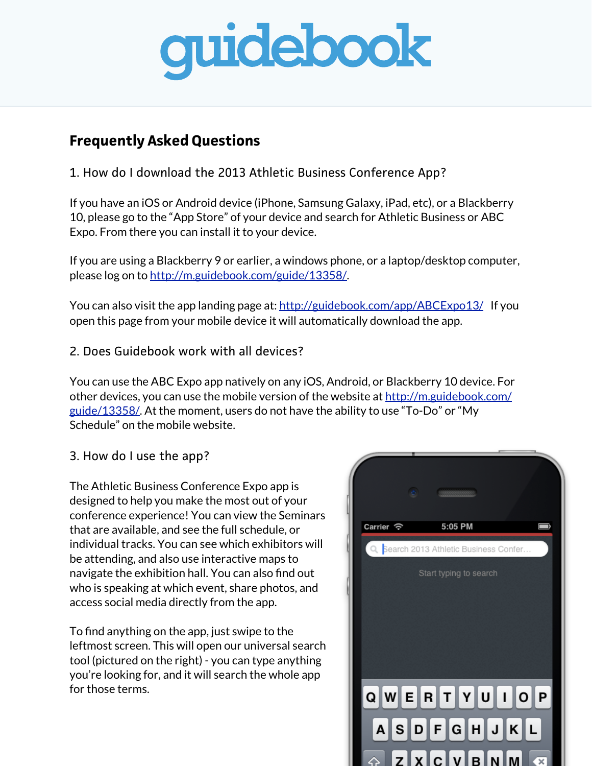

## **Frequently Asked Questions**

1. How do I download the 2013 Athletic Business Conference App?

If you have an iOS or Android device (iPhone, Samsung Galaxy, iPad, etc), or a Blackberry 10, please go to the "App Store" of your device and search for Athletic Business or ABC Expo. From there you can install it to your device.

If you are using a Blackberry 9 or earlier, a windows phone, or a laptop/desktop computer, please log on to [http://m.guidebook.com/guide/13358/.](http://m.guidebook.com/guide/13358/)

You can also visit the app landing page at: <http://guidebook.com/app/ABCExpo13/> If you open this page from your mobile device it will automatically download the app.

2. Does Guidebook work with all devices?

You can use the ABC Expo app natively on any iOS, Android, or Blackberry 10 device. For other devices, you can use the mobile version of the website at [http://m.guidebook.com/](http://m.guidebook.com/guide/13358/) [guide/13358/.](http://m.guidebook.com/guide/13358/) At the moment, users do not have the ability to use "To-Do" or "My Schedule" on the mobile website.

## 3. How do I use the app?

The Athletic Business Conference Expo app is designed to help you make the most out of your conference experience! You can view the Seminars that are available, and see the full schedule, or individual tracks. You can see which exhibitors will be attending, and also use interactive maps to navigate the exhibition hall. You can also find out who is speaking at which event, share photos, and access social media directly from the app.

To find anything on the app, just swipe to the leftmost screen. This will open our universal search tool (pictured on the right) - you can type anything you're looking for, and it will search the whole app for those terms.